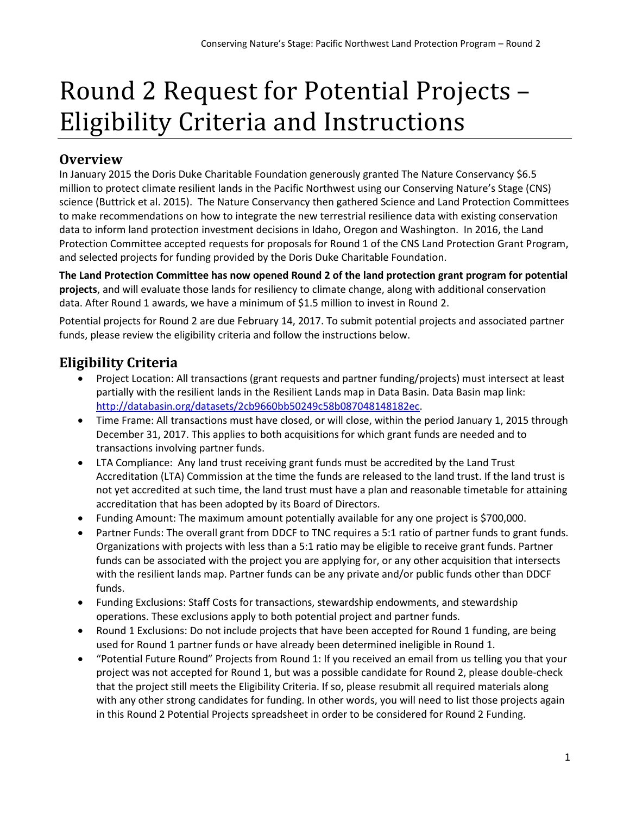# Round 2 Request for Potential Projects – Eligibility Criteria and Instructions

## **Overview**

In January 2015 the Doris Duke Charitable Foundation generously granted The Nature Conservancy \$6.5 million to protect climate resilient lands in the Pacific Northwest using our Conserving Nature's Stage (CNS) science (Buttrick et al. 2015). The Nature Conservancy then gathered Science and Land Protection Committees to make recommendations on how to integrate the new terrestrial resilience data with existing conservation data to inform land protection investment decisions in Idaho, Oregon and Washington. In 2016, the Land Protection Committee accepted requests for proposals for Round 1 of the CNS Land Protection Grant Program, and selected projects for funding provided by the Doris Duke Charitable Foundation.

**The Land Protection Committee has now opened Round 2 of the land protection grant program for potential projects**, and will evaluate those lands for resiliency to climate change, along with additional conservation data. After Round 1 awards, we have a minimum of \$1.5 million to invest in Round 2.

Potential projects for Round 2 are due February 14, 2017. To submit potential projects and associated partner funds, please review the eligibility criteria and follow the instructions below.

# **Eligibility Criteria**

- Project Location: All transactions (grant requests and partner funding/projects) must intersect at least partially with the resilient lands in the Resilient Lands map in Data Basin. Data Basin map link: [http://databasin.org/datasets/2cb9660bb50249c58b087048148182ec.](http://databasin.org/datasets/2cb9660bb50249c58b087048148182ec)
- Time Frame: All transactions must have closed, or will close, within the period January 1, 2015 through December 31, 2017. This applies to both acquisitions for which grant funds are needed and to transactions involving partner funds.
- LTA Compliance: Any land trust receiving grant funds must be accredited by the Land Trust Accreditation (LTA) Commission at the time the funds are released to the land trust. If the land trust is not yet accredited at such time, the land trust must have a plan and reasonable timetable for attaining accreditation that has been adopted by its Board of Directors.
- Funding Amount: The maximum amount potentially available for any one project is \$700,000.
- Partner Funds: The overall grant from DDCF to TNC requires a 5:1 ratio of partner funds to grant funds. Organizations with projects with less than a 5:1 ratio may be eligible to receive grant funds. Partner funds can be associated with the project you are applying for, or any other acquisition that intersects with the resilient lands map. Partner funds can be any private and/or public funds other than DDCF funds.
- Funding Exclusions: Staff Costs for transactions, stewardship endowments, and stewardship operations. These exclusions apply to both potential project and partner funds.
- Round 1 Exclusions: Do not include projects that have been accepted for Round 1 funding, are being used for Round 1 partner funds or have already been determined ineligible in Round 1.
- "Potential Future Round" Projects from Round 1: If you received an email from us telling you that your project was not accepted for Round 1, but was a possible candidate for Round 2, please double-check that the project still meets the Eligibility Criteria. If so, please resubmit all required materials along with any other strong candidates for funding. In other words, you will need to list those projects again in this Round 2 Potential Projects spreadsheet in order to be considered for Round 2 Funding.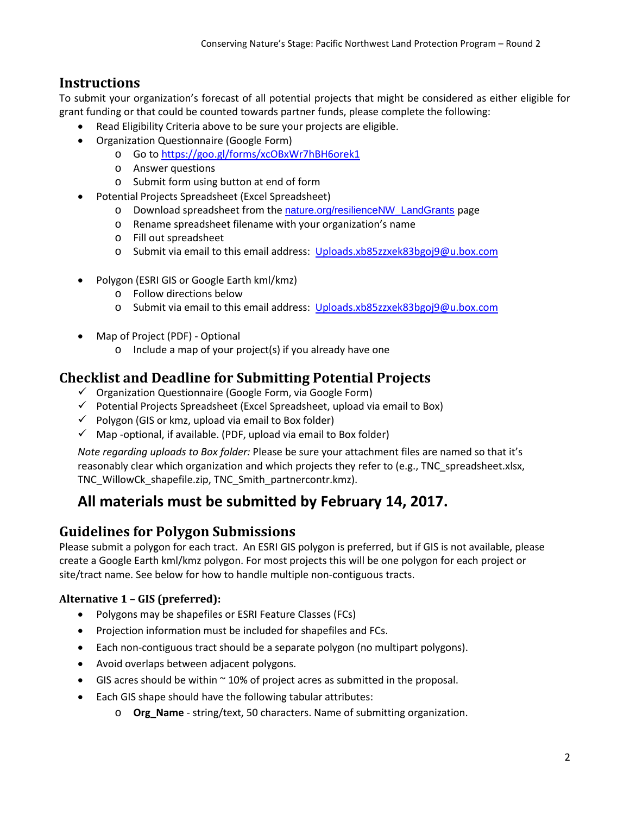## **Instructions**

To submit your organization's forecast of all potential projects that might be considered as either eligible for grant funding or that could be counted towards partner funds, please complete the following:

- Read Eligibility Criteria above to be sure your projects are eligible.
- Organization Questionnaire (Google Form)
	- o Go to <https://goo.gl/forms/xcOBxWr7hBH6orek1>
	- o Answer questions
	- o Submit form using button at end of form
- Potential Projects Spreadsheet (Excel Spreadsheet)
	- o Download spreadsheet from the [nature.org/resilienceNW\\_LandGrants](http://nature.org/resilienceNW_LandGrants) page
	- o Rename spreadsheet filename with your organization's name
	- o Fill out spreadsheet
	- o Submit via email to this email address: [Uploads.xb85zzxek83bgoj9@u.box.com](mailto:Uploads.xb85zzxek83bgoj9@u.box.com)
- Polygon (ESRI GIS or Google Earth kml/kmz)
	- o Follow directions below
	- o Submit via email to this email address: [Uploads.xb85zzxek83bgoj9@u.box.com](mailto:Uploads.xb85zzxek83bgoj9@u.box.com)
- Map of Project (PDF) Optional
	- o Include a map of your project(s) if you already have one

## **Checklist and Deadline for Submitting Potential Projects**

- $\checkmark$  Organization Questionnaire (Google Form, via Google Form)
- $\checkmark$  Potential Projects Spreadsheet (Excel Spreadsheet, upload via email to Box)
- $\checkmark$  Polygon (GIS or kmz, upload via email to Box folder)
- $\checkmark$  Map -optional, if available. (PDF, upload via email to Box folder)

*Note regarding uploads to Box folder:* Please be sure your attachment files are named so that it's reasonably clear which organization and which projects they refer to (e.g., TNC spreadsheet.xlsx, TNC\_WillowCk\_shapefile.zip, TNC\_Smith\_partnercontr.kmz).

# **All materials must be submitted by February 14, 2017.**

### **Guidelines for Polygon Submissions**

Please submit a polygon for each tract. An ESRI GIS polygon is preferred, but if GIS is not available, please create a Google Earth kml/kmz polygon. For most projects this will be one polygon for each project or site/tract name. See below for how to handle multiple non-contiguous tracts.

#### **Alternative 1 – GIS (preferred):**

- Polygons may be shapefiles or ESRI Feature Classes (FCs)
- Projection information must be included for shapefiles and FCs.
- Each non-contiguous tract should be a separate polygon (no multipart polygons).
- Avoid overlaps between adjacent polygons.
- GIS acres should be within  $\sim$  10% of project acres as submitted in the proposal.
- Each GIS shape should have the following tabular attributes:
	- o **Org\_Name**  string/text, 50 characters. Name of submitting organization.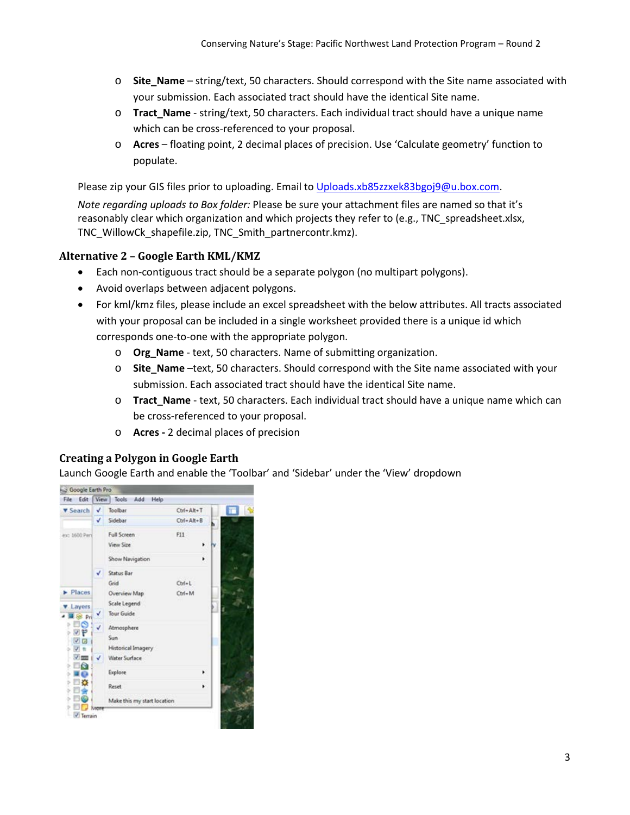- o **Site\_Name** string/text, 50 characters. Should correspond with the Site name associated with your submission. Each associated tract should have the identical Site name.
- o **Tract\_Name**  string/text, 50 characters. Each individual tract should have a unique name which can be cross-referenced to your proposal.
- o **Acres**  floating point, 2 decimal places of precision. Use 'Calculate geometry' function to populate.

Please zip your GIS files prior to uploading. Email t[o Uploads.xb85zzxek83bgoj9@u.box.com.](mailto:Uploads.xb85zzxek83bgoj9@u.box.com)

*Note regarding uploads to Box folder:* Please be sure your attachment files are named so that it's reasonably clear which organization and which projects they refer to (e.g., TNC\_spreadsheet.xlsx, TNC\_WillowCk\_shapefile.zip, TNC\_Smith\_partnercontr.kmz).

#### **Alternative 2 – Google Earth KML/KMZ**

- Each non-contiguous tract should be a separate polygon (no multipart polygons).
- Avoid overlaps between adjacent polygons.
- For kml/kmz files, please include an excel spreadsheet with the below attributes. All tracts associated with your proposal can be included in a single worksheet provided there is a unique id which corresponds one-to-one with the appropriate polygon.
	- o **Org\_Name**  text, 50 characters. Name of submitting organization.
	- o **Site\_Name** –text, 50 characters. Should correspond with the Site name associated with your submission. Each associated tract should have the identical Site name.
	- o **Tract\_Name**  text, 50 characters. Each individual tract should have a unique name which can be cross-referenced to your proposal.
	- o **Acres -** 2 decimal places of precision

#### **Creating a Polygon in Google Earth**

Launch Google Earth and enable the 'Toolbar' and 'Sidebar' under the 'View' dropdown

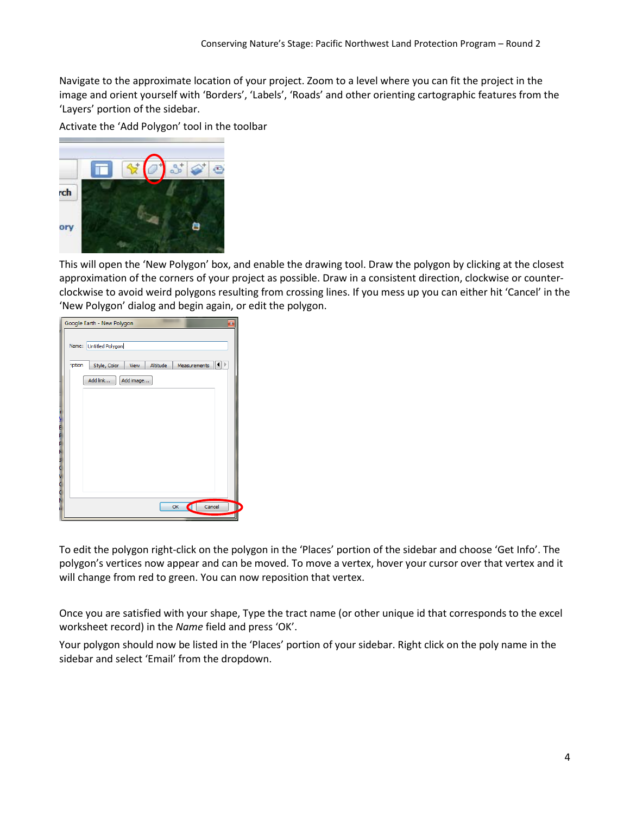Navigate to the approximate location of your project. Zoom to a level where you can fit the project in the image and orient yourself with 'Borders', 'Labels', 'Roads' and other orienting cartographic features from the 'Layers' portion of the sidebar.

Activate the 'Add Polygon' tool in the toolbar



This will open the 'New Polygon' box, and enable the drawing tool. Draw the polygon by clicking at the closest approximation of the corners of your project as possible. Draw in a consistent direction, clockwise or counterclockwise to avoid weird polygons resulting from crossing lines. If you mess up you can either hit 'Cancel' in the 'New Polygon' dialog and begin again, or edit the polygon.

|               | Google Earth - New Polygon<br>$\mathbf{B}$              |
|---------------|---------------------------------------------------------|
| Name:         | <b>Untitled Polygon</b>                                 |
| <i>iption</i> | ◀∥♪<br>Style, Color<br>Altitude<br>View<br>Measurements |
|               | Add link<br>Add image                                   |
|               |                                                         |
|               |                                                         |
|               |                                                         |
|               |                                                         |
|               |                                                         |
|               | Cancel<br>ID<br>OK<br>σ                                 |
|               |                                                         |

To edit the polygon right-click on the polygon in the 'Places' portion of the sidebar and choose 'Get Info'. The polygon's vertices now appear and can be moved. To move a vertex, hover your cursor over that vertex and it will change from red to green. You can now reposition that vertex.

Once you are satisfied with your shape, Type the tract name (or other unique id that corresponds to the excel worksheet record) in the *Name* field and press 'OK'.

Your polygon should now be listed in the 'Places' portion of your sidebar. Right click on the poly name in the sidebar and select 'Email' from the dropdown.